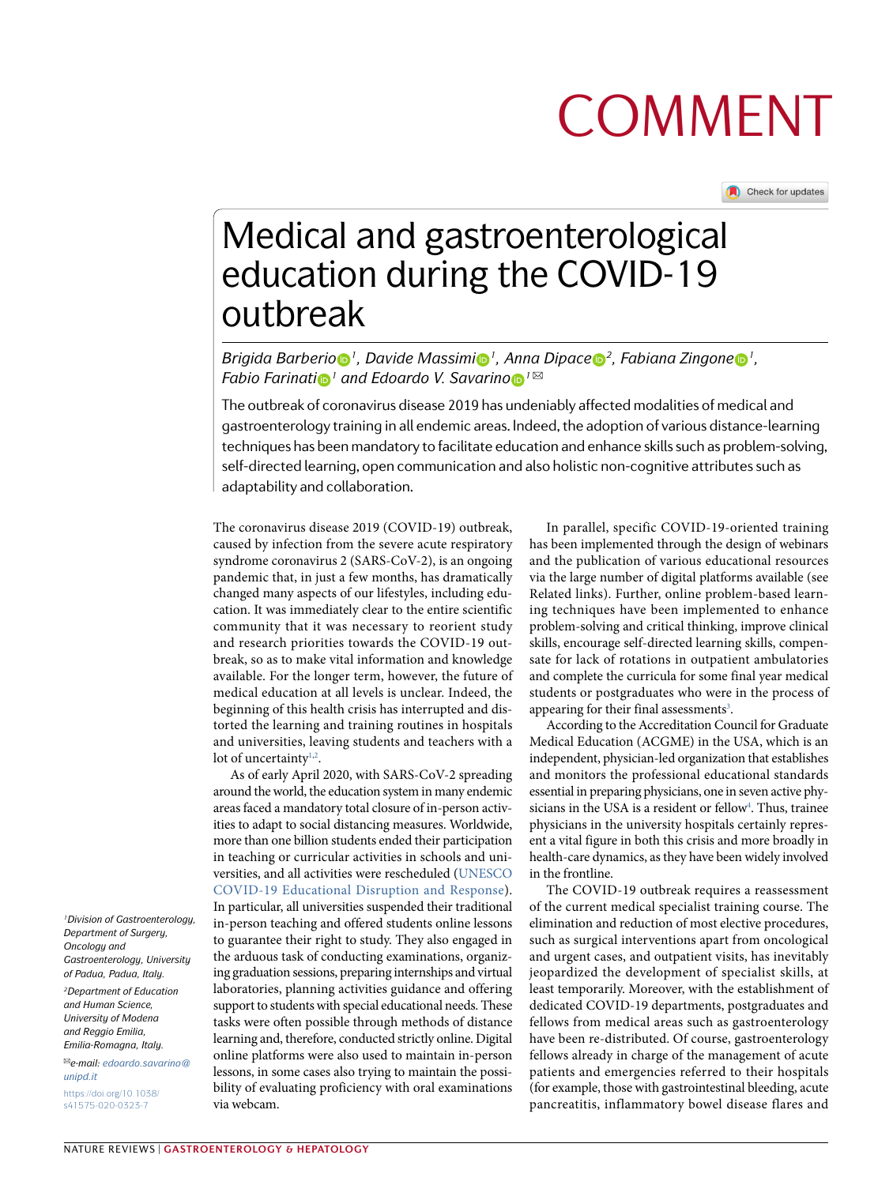# **COMMENT**

Check for updates

## Medical and gastroenterological education during the COVID-19 outbreak

*Brigida Barberio 1, Davide Massimi 1, Anna Dipace 2, Fabiana Zingone 1, Fabio Farinati n*<sup>*1*</sup> *and Edoardo V. Savarino*  $\bullet$ <sup>*1* $\boxtimes$ </sup>

The outbreak of coronavirus disease 2019 has undeniably affected modalities of medical and gastroenterology training in all endemic areas. Indeed, the adoption of various distance-learning techniques has been mandatory to facilitate education and enhance skills such as problem-solving, self-directed learning, open communication and also holistic non-cognitive attributes such as adaptability and collaboration.

The coronavirus disease 2019 (COVID-19) outbreak, caused by infection from the severe acute respiratory syndrome coronavirus 2 (SARS-CoV-2), is an ongoing pandemic that, in just a few months, has dramatically changed many aspects of our lifestyles, including education. It was immediately clear to the entire scientific community that it was necessary to reorient study and research priorities towards the COVID-19 outbreak, so as to make vital information and knowledge available. For the longer term, however, the future of medical education at all levels is unclear. Indeed, the beginning of this health crisis has interrupted and distorted the learning and training routines in hospitals and universities, leaving students and teachers with a lot of uncertainty $1,2$  $1,2$  $1,2$ .

As of early April 2020, with SARS-CoV-2 spreading around the world, the education system in many endemic areas faced a mandatory total closure of in-person activities to adapt to social distancing measures. Worldwide, more than one billion students ended their participation in teaching or curricular activities in schools and universities, and all activities were rescheduled ([UNESCO](https://en.unesco.org/covid19/educationresponse)  [COVID-19 Educational Disruption and Response](https://en.unesco.org/covid19/educationresponse)). In particular, all universities suspended their traditional

in-person teaching and offered students online lessons to guarantee their right to study. They also engaged in the arduous task of conducting examinations, organizing graduation sessions, preparing internships and virtual laboratories, planning activities guidance and offering support to students with special educational needs. These tasks were often possible through methods of distance learning and, therefore, conducted strictly online. Digital online platforms were also used to maintain in-person lessons, in some cases also trying to maintain the possibility of evaluating proficiency with oral examinations via webcam.

In parallel, specific COVID-19-oriented training has been implemented through the design of webinars and the publication of various educational resources via the large number of digital platforms available (see Related links). Further, online problem-based learning techniques have been implemented to enhance problem-solving and critical thinking, improve clinical skills, encourage self-directed learning skills, compensate for lack of rotations in outpatient ambulatories and complete the curricula for some final year medical students or postgraduates who were in the process of appearing for their final assessments<sup>[3](#page-2-2)</sup>.

According to the Accreditation Council for Graduate Medical Education (ACGME) in the USA, which is an independent, physician-led organization that establishes and monitors the professional educational standards essential in preparing physicians, one in seven active physicians in the USA is a resident or fellow<sup>4</sup>. Thus, trainee physicians in the university hospitals certainly represent a vital figure in both this crisis and more broadly in health-care dynamics, as they have been widely involved in the frontline.

The COVID-19 outbreak requires a reassessment of the current medical specialist training course. The elimination and reduction of most elective procedures, such as surgical interventions apart from oncological and urgent cases, and outpatient visits, has inevitably jeopardized the development of specialist skills, at least temporarily. Moreover, with the establishment of dedicated COVID-19 departments, postgraduates and fellows from medical areas such as gastroenterology have been re-distributed. Of course, gastroenterology fellows already in charge of the management of acute patients and emergencies referred to their hospitals (for example, those with gastrointestinal bleeding, acute pancreatitis, inflammatory bowel disease flares and

*1Division of Gastroenterology, Department of Surgery, Oncology and Gastroenterology, University of Padua, Padua, Italy.*

*2Department of Education and Human Science, University of Modena and Reggio Emilia, Emilia-Romagna, Italy.*

✉*e-mail: [edoardo.savarino@](mailto:edoardo.savarino@unipd.it) [unipd.it](mailto:edoardo.savarino@unipd.it)* [https://doi.org/10.1038/](https://doi.org/10.1038/s41575-020-0323-7) [s41575-020-0323-7](https://doi.org/10.1038/s41575-020-0323-7)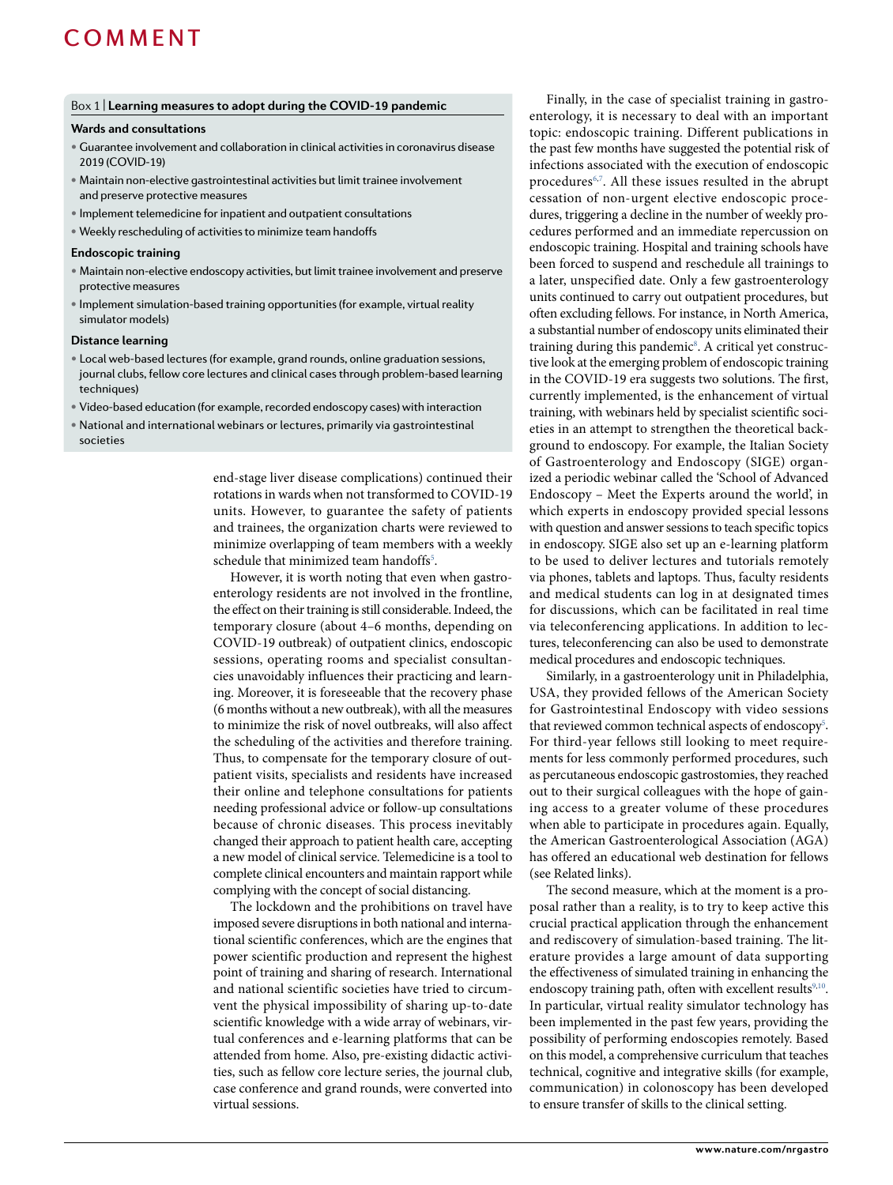### COMMENT

#### <span id="page-1-0"></span>Box 1 | **learning measures to adopt during the CoVID-19 pandemic**

#### **Wards and consultations**

- Guarantee involvement and collaboration in clinical activities in coronavirus disease 2019 (COVID-19)
- Maintain non-elective gastrointestinal activities but limit trainee involvement and preserve protective measures
- Implement telemedicine for inpatient and outpatient consultations
- • Weekly rescheduling of activitiesto minimize team handoffs

#### **endoscopic training**

- Maintain non-elective endoscopy activities, but limit trainee involvement and preserve protective measures
- Implement simulation-based training opportunities (for example, virtual reality simulator models)

#### **Distance learning**

- Local web-based lectures (for example, grand rounds, online graduation sessions, journal clubs, fellow core lectures and clinical cases through problem-based learning techniques)
- Video-based education (for example, recorded endoscopy cases) with interaction
- • National and international webinars or lectures, primarily via gastrointestinal societies

end-stage liver disease complications) continued their rotations in wards when not transformed to COVID-19 units. However, to guarantee the safety of patients and trainees, the organization charts were reviewed to minimize overlapping of team members with a weekly schedule that minimized team handoffs<sup>5</sup>.

However, it is worth noting that even when gastroenterology residents are not involved in the frontline, the effect on their training is still considerable. Indeed, the temporary closure (about 4–6 months, depending on COVID-19 outbreak) of outpatient clinics, endoscopic sessions, operating rooms and specialist consultancies unavoidably influences their practicing and learning. Moreover, it is foreseeable that the recovery phase (6 months without a new outbreak), with all the measures to minimize the risk of novel outbreaks, will also affect the scheduling of the activities and therefore training. Thus, to compensate for the temporary closure of outpatient visits, specialists and residents have increased their online and telephone consultations for patients needing professional advice or follow-up consultations because of chronic diseases. This process inevitably changed their approach to patient health care, accepting a new model of clinical service. Telemedicine is a tool to complete clinical encounters and maintain rapport while complying with the concept of social distancing.

The lockdown and the prohibitions on travel have imposed severe disruptions in both national and international scientific conferences, which are the engines that power scientific production and represent the highest point of training and sharing of research. International and national scientific societies have tried to circumvent the physical impossibility of sharing up-to-date scientific knowledge with a wide array of webinars, virtual conferences and e-learning platforms that can be attended from home. Also, pre-existing didactic activities, such as fellow core lecture series, the journal club, case conference and grand rounds, were converted into virtual sessions.

Finally, in the case of specialist training in gastroenterology, it is necessary to deal with an important topic: endoscopic training. Different publications in the past few months have suggested the potential risk of infections associated with the execution of endoscopic procedures<sup>[6](#page-2-5),[7](#page-2-6)</sup>. All these issues resulted in the abrupt cessation of non-urgent elective endoscopic procedures, triggering a decline in the number of weekly procedures performed and an immediate repercussion on endoscopic training. Hospital and training schools have been forced to suspend and reschedule all trainings to a later, unspecified date. Only a few gastroenterology units continued to carry out outpatient procedures, but often excluding fellows. For instance, in North America, a substantial number of endoscopy units eliminated their training during this pandemic<sup>[8](#page-2-7)</sup>. A critical yet constructive look at the emerging problem of endoscopic training in the COVID-19 era suggests two solutions. The first, currently implemented, is the enhancement of virtual training, with webinars held by specialist scientific societies in an attempt to strengthen the theoretical background to endoscopy. For example, the Italian Society of Gastroenterology and Endoscopy (SIGE) organized a periodic webinar called the 'School of Advanced Endoscopy – Meet the Experts around the world', in which experts in endoscopy provided special lessons with question and answer sessions to teach specific topics in endoscopy. SIGE also set up an e-learning platform to be used to deliver lectures and tutorials remotely via phones, tablets and laptops. Thus, faculty residents and medical students can log in at designated times for discussions, which can be facilitated in real time via teleconferencing applications. In addition to lectures, teleconferencing can also be used to demonstrate medical procedures and endoscopic techniques.

Similarly, in a gastroenterology unit in Philadelphia, USA, they provided fellows of the American Society for Gastrointestinal Endoscopy with video sessions that reviewed common technical aspects of endoscopy<sup>5</sup>. For third-year fellows still looking to meet requirements for less commonly performed procedures, such as percutaneous endoscopic gastrostomies, they reached out to their surgical colleagues with the hope of gaining access to a greater volume of these procedures when able to participate in procedures again. Equally, the American Gastroenterological Association (AGA) has offered an educational web destination for fellows (see Related links).

The second measure, which at the moment is a proposal rather than a reality, is to try to keep active this crucial practical application through the enhancement and rediscovery of simulation-based training. The literature provides a large amount of data supporting the effectiveness of simulated training in enhancing the endoscopy training path, often with excellent results<sup>[9](#page-2-8),10</sup>. In particular, virtual reality simulator technology has been implemented in the past few years, providing the possibility of performing endoscopies remotely. Based on this model, a comprehensive curriculum that teaches technical, cognitive and integrative skills (for example, communication) in colonoscopy has been developed to ensure transfer of skills to the clinical setting.